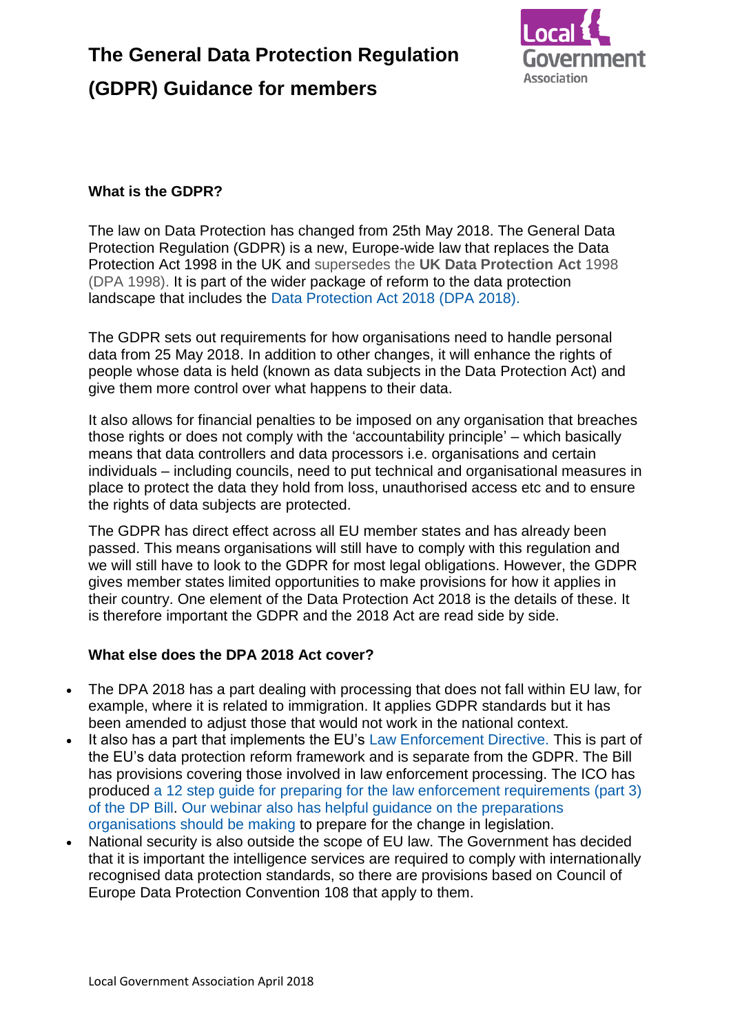## **The General Data Protection Regulation (GDPR) Guidance for members**



#### **What is the GDPR?**

The law on Data Protection has changed from 25th May 2018. The General Data Protection Regulation (GDPR) is a new, Europe-wide law that replaces the Data Protection Act 1998 in the UK and supersedes the **UK Data Protection Act** 1998 (DPA 1998). It is part of the wider package of reform to the data protection landscape that includes the [Data Protection Act 2018](https://ico.org.uk/for-organisations/data-protection-bill/) (DPA 2018).

The GDPR sets out requirements for how organisations need to handle personal data from 25 May 2018. In addition to other changes, it will enhance the rights of people whose data is held (known as data subjects in the Data Protection Act) and give them more control over what happens to their data.

It also allows for financial penalties to be imposed on any organisation that breaches those rights or does not comply with the 'accountability principle' – which basically means that data controllers and data processors i.e. organisations and certain individuals – including councils, need to put technical and organisational measures in place to protect the data they hold from loss, unauthorised access etc and to ensure the rights of data subjects are protected.

The GDPR has direct effect across all EU member states and has already been passed. This means organisations will still have to comply with this regulation and we will still have to look to the GDPR for most legal obligations. However, the GDPR gives member states limited opportunities to make provisions for how it applies in their country. One element of the Data Protection Act 2018 is the details of these. It is therefore important the GDPR and the 2018 Act are read side by side.

### **What else does the DPA 2018 Act cover?**

- The DPA 2018 has a part dealing with processing that does not fall within EU law, for example, where it is related to immigration. It applies GDPR standards but it has been amended to adjust those that would not work in the national context.
- It also has a part that implements the EU's [Law Enforcement Directive.](http://eur-lex.europa.eu/legal-content/EN/TXT/?uri=uriserv:OJ.L_.2016.119.01.0089.01.ENG) This is part of the EU's data protection reform framework and is separate from the GDPR. The Bill has provisions covering those involved in law enforcement processing. The ICO has produced [a 12 step guide for preparing for the law enforcement requirements \(part 3\)](https://ico.org.uk/media/for-organisations/documents/2014918/dp-bill-12-steps-infographic.pdf)  [of the DP Bill.](https://ico.org.uk/media/for-organisations/documents/2014918/dp-bill-12-steps-infographic.pdf) [Our webinar also has helpful guidance on the preparations](https://youtu.be/gI7Ed9Kxa5Y)  [organisations should be making](https://youtu.be/gI7Ed9Kxa5Y) to prepare for the change in legislation.
- National security is also outside the scope of EU law. The Government has decided that it is important the intelligence services are required to comply with internationally recognised data protection standards, so there are provisions based on Council of Europe Data Protection Convention 108 that apply to them.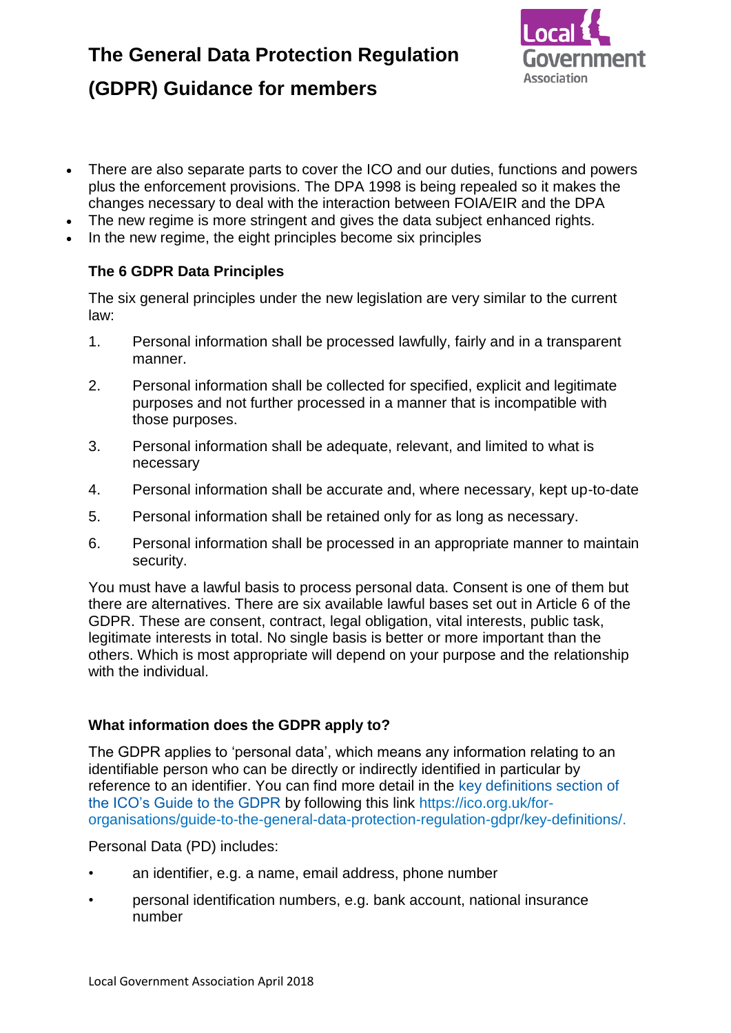

### **(GDPR) Guidance for members**

- There are also separate parts to cover the ICO and our duties, functions and powers plus the enforcement provisions. The DPA 1998 is being repealed so it makes the changes necessary to deal with the interaction between FOIA/EIR and the DPA
- The new regime is more stringent and gives the data subject enhanced rights.
- In the new regime, the eight principles become six principles

### **The 6 GDPR Data Principles**

The six general principles under the new legislation are very similar to the current law:

- 1. Personal information shall be processed lawfully, fairly and in a transparent manner.
- 2. Personal information shall be collected for specified, explicit and legitimate purposes and not further processed in a manner that is incompatible with those purposes.
- 3. Personal information shall be adequate, relevant, and limited to what is necessary
- 4. Personal information shall be accurate and, where necessary, kept up-to-date
- 5. Personal information shall be retained only for as long as necessary.
- 6. Personal information shall be processed in an appropriate manner to maintain security.

You must have a lawful basis to process personal data. Consent is one of them but there are alternatives. There are six available lawful bases set out in Article 6 of the GDPR. These are consent, contract, legal obligation, vital interests, public task, legitimate interests in total. No single basis is better or more important than the others. Which is most appropriate will depend on your purpose and the relationship with the individual.

### **What information does the GDPR apply to?**

The GDPR applies to 'personal data', which means any information relating to an identifiable person who can be directly or indirectly identified in particular by reference to an identifier. You can find more detail in the [key definitions section of](https://ico.org.uk/for-organisations/guide-to-the-general-data-protection-regulation-gdpr/key-definitions/)  [the ICO's Guide to the GDPR](https://ico.org.uk/for-organisations/guide-to-the-general-data-protection-regulation-gdpr/key-definitions/) by following this link https://ico.org.uk/fororganisations/guide-to-the-general-data-protection-regulation-gdpr/key-definitions/.

Personal Data (PD) includes:

- an identifier, e.g. a name, email address, phone number
- personal identification numbers, e.g. bank account, national insurance number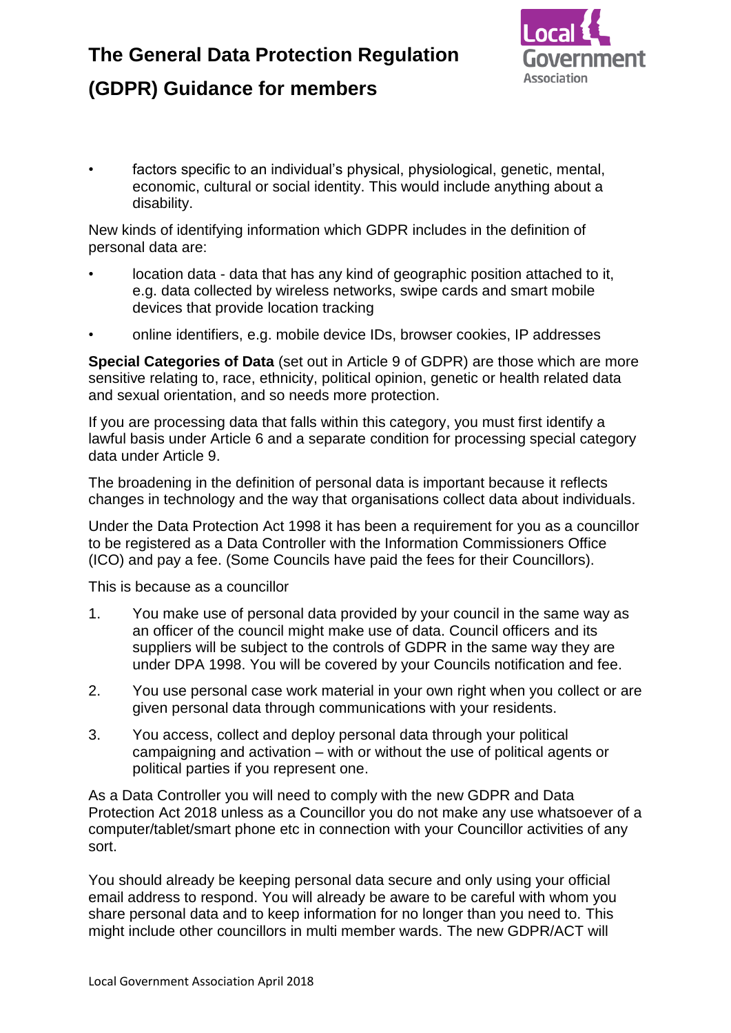

### **(GDPR) Guidance for members**

factors specific to an individual's physical, physiological, genetic, mental, economic, cultural or social identity. This would include anything about a disability.

New kinds of identifying information which GDPR includes in the definition of personal data are:

- location data data that has any kind of geographic position attached to it, e.g. data collected by wireless networks, swipe cards and smart mobile devices that provide location tracking
- online identifiers, e.g. mobile device IDs, browser cookies, IP addresses

**Special Categories of Data** (set out in Article 9 of GDPR) are those which are more sensitive relating to, race, ethnicity, political opinion, genetic or health related data and sexual orientation, and so needs more protection.

If you are processing data that falls within this category, you must first identify a lawful basis under Article 6 and a separate condition for processing special category data under Article 9.

The broadening in the definition of personal data is important because it reflects changes in technology and the way that organisations collect data about individuals.

Under the Data Protection Act 1998 it has been a requirement for you as a councillor to be registered as a Data Controller with the Information Commissioners Office (ICO) and pay a fee. (Some Councils have paid the fees for their Councillors).

This is because as a councillor

- 1. You make use of personal data provided by your council in the same way as an officer of the council might make use of data. Council officers and its suppliers will be subject to the controls of GDPR in the same way they are under DPA 1998. You will be covered by your Councils notification and fee.
- 2. You use personal case work material in your own right when you collect or are given personal data through communications with your residents.
- 3. You access, collect and deploy personal data through your political campaigning and activation – with or without the use of political agents or political parties if you represent one.

As a Data Controller you will need to comply with the new GDPR and Data Protection Act 2018 unless as a Councillor you do not make any use whatsoever of a computer/tablet/smart phone etc in connection with your Councillor activities of any sort.

You should already be keeping personal data secure and only using your official email address to respond. You will already be aware to be careful with whom you share personal data and to keep information for no longer than you need to. This might include other councillors in multi member wards. The new GDPR/ACT will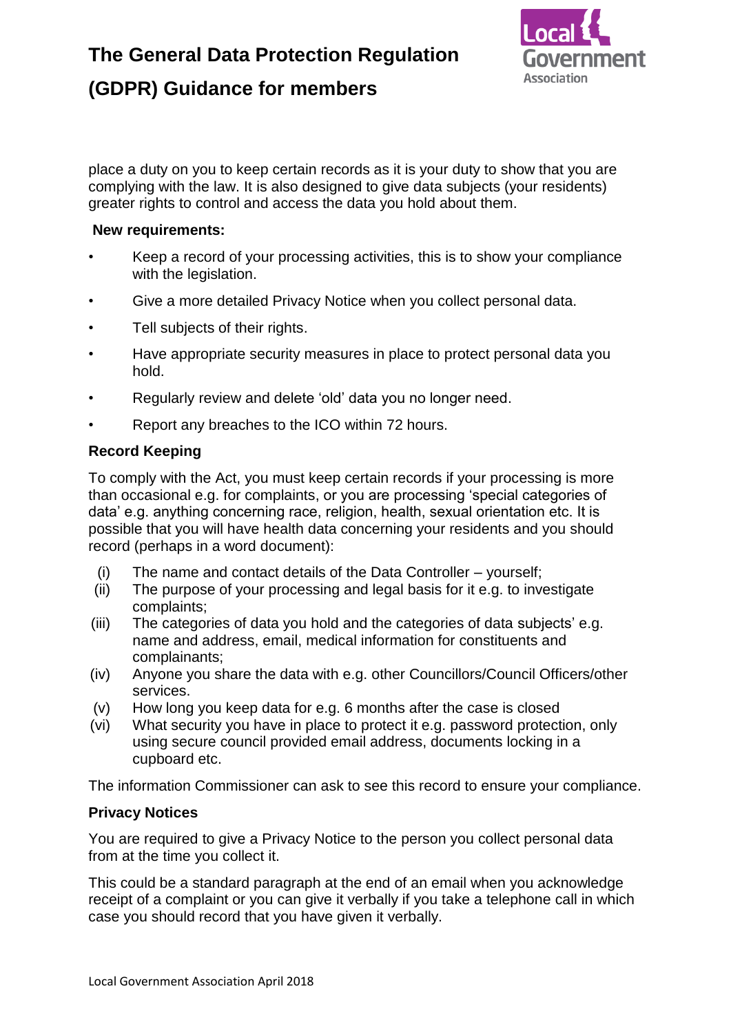

### **(GDPR) Guidance for members**

place a duty on you to keep certain records as it is your duty to show that you are complying with the law. It is also designed to give data subjects (your residents) greater rights to control and access the data you hold about them.

#### **New requirements:**

- Keep a record of your processing activities, this is to show your compliance with the legislation.
- Give a more detailed Privacy Notice when you collect personal data.
- Tell subjects of their rights.
- Have appropriate security measures in place to protect personal data you hold.
- Regularly review and delete 'old' data you no longer need.
- Report any breaches to the ICO within 72 hours.

#### **Record Keeping**

To comply with the Act, you must keep certain records if your processing is more than occasional e.g. for complaints, or you are processing 'special categories of data' e.g. anything concerning race, religion, health, sexual orientation etc. It is possible that you will have health data concerning your residents and you should record (perhaps in a word document):

- (i) The name and contact details of the Data Controller yourself;
- (ii) The purpose of your processing and legal basis for it e.g. to investigate complaints;
- (iii) The categories of data you hold and the categories of data subjects' e.g. name and address, email, medical information for constituents and complainants;
- (iv) Anyone you share the data with e.g. other Councillors/Council Officers/other services.
- (v) How long you keep data for e.g. 6 months after the case is closed
- (vi) What security you have in place to protect it e.g. password protection, only using secure council provided email address, documents locking in a cupboard etc.

The information Commissioner can ask to see this record to ensure your compliance.

### **Privacy Notices**

You are required to give a Privacy Notice to the person you collect personal data from at the time you collect it.

This could be a standard paragraph at the end of an email when you acknowledge receipt of a complaint or you can give it verbally if you take a telephone call in which case you should record that you have given it verbally.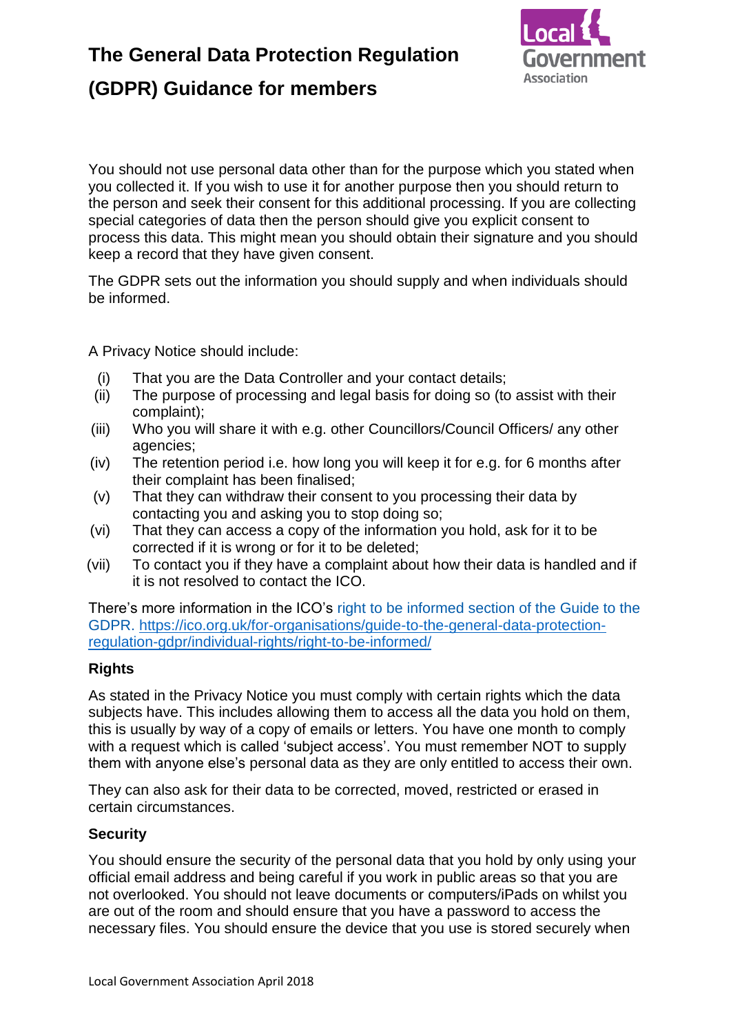

### **(GDPR) Guidance for members**

You should not use personal data other than for the purpose which you stated when you collected it. If you wish to use it for another purpose then you should return to the person and seek their consent for this additional processing. If you are collecting special categories of data then the person should give you explicit consent to process this data. This might mean you should obtain their signature and you should keep a record that they have given consent.

The GDPR sets out the information you should supply and when individuals should be informed.

A Privacy Notice should include:

- (i) That you are the Data Controller and your contact details;
- (ii) The purpose of processing and legal basis for doing so (to assist with their complaint);
- (iii) Who you will share it with e.g. other Councillors/Council Officers/ any other agencies;
- (iv) The retention period i.e. how long you will keep it for e.g. for 6 months after their complaint has been finalised;
- (v) That they can withdraw their consent to you processing their data by contacting you and asking you to stop doing so;
- (vi) That they can access a copy of the information you hold, ask for it to be corrected if it is wrong or for it to be deleted;
- (vii) To contact you if they have a complaint about how their data is handled and if it is not resolved to contact the ICO.

There's more information in the ICO's [right to be informed section of the Guide to the](https://ico.org.uk/for-organisations/guide-to-the-general-data-protection-regulation-gdpr/individual-rights/right-to-be-informed/)  [GDPR.](https://ico.org.uk/for-organisations/guide-to-the-general-data-protection-regulation-gdpr/individual-rights/right-to-be-informed/) [https://ico.org.uk/for-organisations/guide-to-the-general-data-protection](https://ico.org.uk/for-organisations/guide-to-the-general-data-protection-regulation-gdpr/individual-rights/right-to-be-informed/)[regulation-gdpr/individual-rights/right-to-be-informed/](https://ico.org.uk/for-organisations/guide-to-the-general-data-protection-regulation-gdpr/individual-rights/right-to-be-informed/)

### **Rights**

As stated in the Privacy Notice you must comply with certain rights which the data subjects have. This includes allowing them to access all the data you hold on them, this is usually by way of a copy of emails or letters. You have one month to comply with a request which is called 'subject access'. You must remember NOT to supply them with anyone else's personal data as they are only entitled to access their own.

They can also ask for their data to be corrected, moved, restricted or erased in certain circumstances.

### **Security**

You should ensure the security of the personal data that you hold by only using your official email address and being careful if you work in public areas so that you are not overlooked. You should not leave documents or computers/iPads on whilst you are out of the room and should ensure that you have a password to access the necessary files. You should ensure the device that you use is stored securely when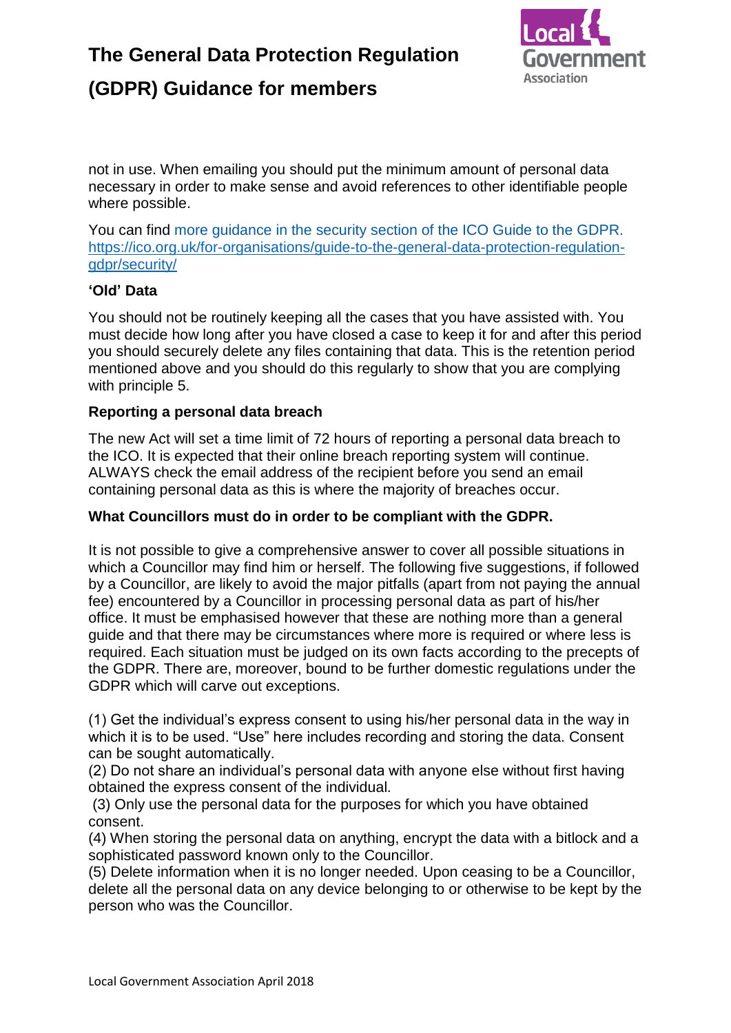

### **(GDPR) Guidance for members**

not in use. When emailing you should put the minimum amount of personal data necessary in order to make sense and avoid references to other identifiable people where possible.

You can find [more guidance in the security section of the ICO Guide to the GDPR.](https://ico.org.uk/for-organisations/guide-to-the-general-data-protection-regulation-gdpr/security/) [https://ico.org.uk/for-organisations/guide-to-the-general-data-protection-regulation](https://ico.org.uk/for-organisations/guide-to-the-general-data-protection-regulation-gdpr/security/)[gdpr/security/](https://ico.org.uk/for-organisations/guide-to-the-general-data-protection-regulation-gdpr/security/)

### **'Old' Data**

You should not be routinely keeping all the cases that you have assisted with. You must decide how long after you have closed a case to keep it for and after this period you should securely delete any files containing that data. This is the retention period mentioned above and you should do this regularly to show that you are complying with principle 5.

#### **Reporting a personal data breach**

The new Act will set a time limit of 72 hours of reporting a personal data breach to the ICO. It is expected that their online breach reporting system will continue. ALWAYS check the email address of the recipient before you send an email containing personal data as this is where the majority of breaches occur.

#### **What Councillors must do in order to be compliant with the GDPR.**

It is not possible to give a comprehensive answer to cover all possible situations in which a Councillor may find him or herself. The following five suggestions, if followed by a Councillor, are likely to avoid the major pitfalls (apart from not paying the annual fee) encountered by a Councillor in processing personal data as part of his/her office. It must be emphasised however that these are nothing more than a general guide and that there may be circumstances where more is required or where less is required. Each situation must be judged on its own facts according to the precepts of the GDPR. There are, moreover, bound to be further domestic regulations under the GDPR which will carve out exceptions.

(1) Get the individual's express consent to using his/her personal data in the way in which it is to be used. "Use" here includes recording and storing the data. Consent can be sought automatically.

(2) Do not share an individual's personal data with anyone else without first having obtained the express consent of the individual.

(3) Only use the personal data for the purposes for which you have obtained consent.

(4) When storing the personal data on anything, encrypt the data with a bitlock and a sophisticated password known only to the Councillor.

(5) Delete information when it is no longer needed. Upon ceasing to be a Councillor, delete all the personal data on any device belonging to or otherwise to be kept by the person who was the Councillor.